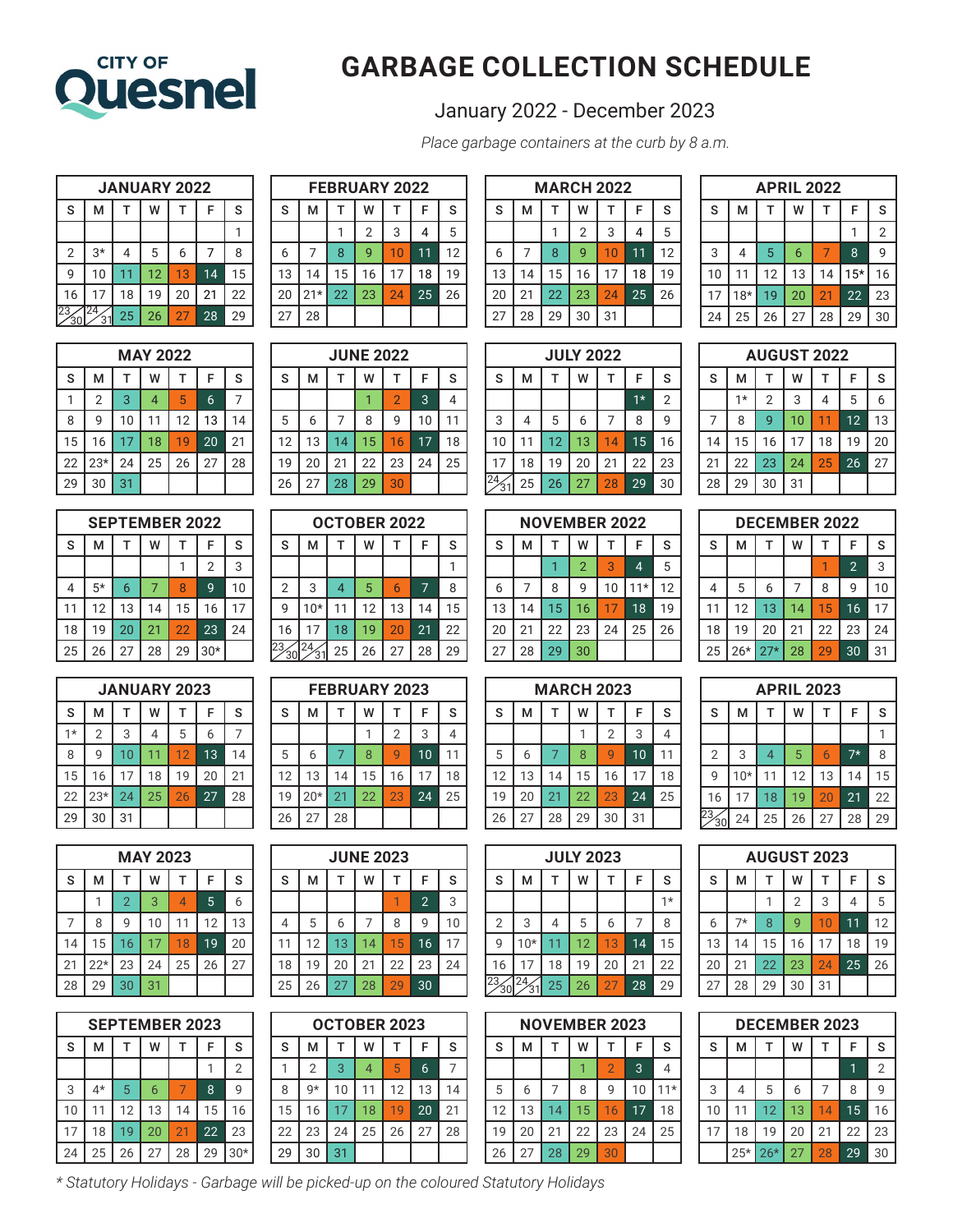

## **GARBAGE COLLECTION SCHEDULE**

## January 2022 - December 2023

*Place garbage containers at the curb by 8 a.m.*

| <b>JANUARY 2022</b> |      |    |    |    |    |    |  |
|---------------------|------|----|----|----|----|----|--|
| S                   | м    |    | W  |    | F  | S  |  |
|                     |      |    |    |    |    |    |  |
| $\overline{2}$      | $3*$ | 4  | 5  | 6  | 7  | 8  |  |
| 9                   | 10   | 11 | 12 | 13 | 14 | 15 |  |
| 16                  | 17   | 18 | 19 | 20 | 21 | 22 |  |
| 23                  | 3    | 25 | 26 | 27 | 28 | 29 |  |

| <b>MAY 2022</b> |                |    |                |    |    |             |  |  |  |
|-----------------|----------------|----|----------------|----|----|-------------|--|--|--|
| S               | M              |    | w              |    | F  | $\mathsf S$ |  |  |  |
|                 | $\overline{2}$ | 3  | $\overline{4}$ | 5  | 6  |             |  |  |  |
| 8               | 9              | 10 | 11             | 12 | 13 | 14          |  |  |  |
| 15              | 16             | 17 | 18             | 19 | 20 | 21          |  |  |  |
| 22              | $23*$          | 24 | 25             | 26 | 27 | 28          |  |  |  |
| 29              | 30             | 31 |                |    |    |             |  |  |  |

|    | <b>SEPTEMBER 2022</b> |    |    |    |                |    |  |  |  |
|----|-----------------------|----|----|----|----------------|----|--|--|--|
| S  | м                     |    | w  |    | F              | S  |  |  |  |
|    |                       |    |    |    | $\overline{2}$ | 3  |  |  |  |
| 4  | $5*$                  | 6  |    | 8  | 9              | 10 |  |  |  |
| 11 | 12                    | 13 | 14 | 15 | 16             | 17 |  |  |  |
| 18 | 19                    | 20 | 21 | 22 | 23             | 24 |  |  |  |
| 25 | 26                    | 27 | 28 | 29 | $30*$          |    |  |  |  |

|      | <b>JANUARY 2023</b> |    |    |    |    |    |  |  |  |
|------|---------------------|----|----|----|----|----|--|--|--|
| S    | м                   |    | w  |    | F  | S  |  |  |  |
| $1*$ | $\overline{2}$      | 3  | 4  | 5  | 6  |    |  |  |  |
| 8    | 9                   | 10 | 11 | 12 | 13 | 14 |  |  |  |
| 15   | 16                  | 17 | 18 | 19 | 20 | 21 |  |  |  |
| 22   | $23*$               | 24 | 25 | 26 | 27 | 28 |  |  |  |
| 29   | 30                  | 31 |    |    |    |    |  |  |  |

| <b>MAY 2023</b> |       |                |    |    |    |    |  |  |  |
|-----------------|-------|----------------|----|----|----|----|--|--|--|
| S               | м     |                | W  |    | F  | S  |  |  |  |
|                 |       | $\overline{2}$ | 3  | 4  | 5  | 6  |  |  |  |
|                 | 8     | q              | 10 | 11 | 12 | 13 |  |  |  |
| 14              | 15    | 16             | 17 | 18 | 19 | 20 |  |  |  |
| 21              | $22*$ | 23             | 24 | 25 | 26 | 27 |  |  |  |
| 28              | 29    | 30             | 31 |    |    |    |  |  |  |

|    | <b>SEPTEMBER 2023</b> |    |    |    |    |                |  |  |  |
|----|-----------------------|----|----|----|----|----------------|--|--|--|
| S  | м                     |    | W  |    | F  | S              |  |  |  |
|    |                       |    |    |    |    | $\overline{2}$ |  |  |  |
| 3  | 4*                    | 5  | 6  | 7  | 8  | q              |  |  |  |
| 10 |                       | 12 | 13 | 14 | 15 | 16             |  |  |  |
| 17 | 18                    | 19 | 20 | 21 | 22 | 23             |  |  |  |
| 24 | 25                    | 26 | 27 | 28 | 29 | $30*$          |  |  |  |

| <b>FEBRUARY 2022</b> |                  |    |    |    |    |    |  |  |  |  |
|----------------------|------------------|----|----|----|----|----|--|--|--|--|
| S                    | S<br>M<br>W<br>F |    |    |    |    |    |  |  |  |  |
|                      |                  |    | 2  | 3  |    | 5  |  |  |  |  |
| 6                    |                  | 8  | q  | 10 | 11 | 12 |  |  |  |  |
| 13                   | 14               | 15 | 16 | 17 | 18 | 19 |  |  |  |  |
| 20                   | $21*$            | 22 | 23 | 24 | 25 | 26 |  |  |  |  |
| 27                   | 28               |    |    |    |    |    |  |  |  |  |

| <b>JUNE 2022</b> |    |    |    |                |    |             |  |  |
|------------------|----|----|----|----------------|----|-------------|--|--|
| S                | M  |    | w  |                | F  | $\mathsf S$ |  |  |
|                  |    |    |    | $\overline{2}$ | 3  |             |  |  |
| 5                | 6  |    | 8  | 9              | 10 |             |  |  |
| 12               | 13 | 14 | 15 | 16             | 17 | 18          |  |  |
| 19               | 20 | 21 | 22 | 23             | 24 | 25          |  |  |
| 26               | 27 | 28 | 29 | 30             |    |             |  |  |

| <b>OCTOBER 2022</b> |       |    |    |    |    |    |  |
|---------------------|-------|----|----|----|----|----|--|
| S                   | М     |    | w  |    | F  | S  |  |
|                     |       |    |    |    |    |    |  |
| $\overline{2}$      | 3     | 4  | 5  | 6  | 7  | 8  |  |
| 9                   | $10*$ | 11 | 12 | 13 | 14 | 15 |  |
| 16                  | 17    | 18 | 19 | 20 | 21 | 22 |  |
| 23                  |       | 25 | 26 | 27 | 28 | 29 |  |

| <b>FEBRUARY 2023</b> |       |    |    |                |    |    |  |  |
|----------------------|-------|----|----|----------------|----|----|--|--|
| S                    | М     | т  | W  | T              | F  | S  |  |  |
|                      |       |    |    | $\overline{2}$ | 3  | 4  |  |  |
| 5                    | 6     |    | 8  | q              | 10 | 11 |  |  |
| 12                   | 13    | 14 | 15 | 16             | 17 | 18 |  |  |
| 19                   | $20*$ | 21 | 22 | 23             | 24 | 25 |  |  |
| 26                   | 27    | 28 |    |                |    |    |  |  |

| <b>JUNE 2023</b> |    |    |    |    |                |    |  |  |
|------------------|----|----|----|----|----------------|----|--|--|
| S                | м  |    | W  |    | F              | S  |  |  |
|                  |    |    |    |    | $\overline{2}$ | 3  |  |  |
| 4                | 5  | 6  |    | 8  | 9              | 10 |  |  |
| 11               | 12 | 13 | 14 | 15 | 16             | 17 |  |  |
| 18               | 19 | 20 | 21 | 22 | 23             | 24 |  |  |
| 25               | 26 | 27 | 28 | 29 | 30             |    |  |  |

| OCTOBER 2023 |                |    |                |    |    |             |  |  |  |
|--------------|----------------|----|----------------|----|----|-------------|--|--|--|
| S            | м              |    | w              |    | F  | $\mathsf S$ |  |  |  |
|              | $\overline{2}$ | 3  | $\overline{4}$ | 5  | 6  |             |  |  |  |
| 8            | g*             | 10 | 11             | 12 | 13 | 14          |  |  |  |
| 15           | 16             | 17 | 18             | 19 | 20 | 21          |  |  |  |
| 22           | 23             | 24 | 25             | 26 | 27 | 28          |  |  |  |
| 29           | 30             | 31 |                |    |    |             |  |  |  |

| <b>MARCH 2022</b> |    |    |                |    |                 |    |  |  |
|-------------------|----|----|----------------|----|-----------------|----|--|--|
| S                 | м  |    | w              |    | F               | S  |  |  |
|                   |    |    | $\overline{2}$ | 3  | 4               | 5  |  |  |
| 6                 |    | 8  | 9              | 10 | 11              | 12 |  |  |
| 13                | 14 | 15 | 16             | 17 | 18              | 19 |  |  |
| 20                | 21 | 22 | 23             | 24 | $2\overline{5}$ | 26 |  |  |
| 27                | 28 | 29 | 30             | 31 |                 |    |  |  |

| <b>APRIL 2022</b>     |       |    |    |    |       |                |  |  |
|-----------------------|-------|----|----|----|-------|----------------|--|--|
| S<br>S<br>F<br>м<br>w |       |    |    |    |       |                |  |  |
|                       |       |    |    |    |       | $\overline{2}$ |  |  |
| 3                     | 4     | 5  | 6  |    | 8     | g              |  |  |
| 10                    | 11    | 12 | 13 | 14 | $15*$ | 16             |  |  |
| 17                    | $18*$ | 19 | 20 | 21 | 22    | 23             |  |  |
| 24                    | 25    | 26 | 27 | 28 | 29    | 30             |  |  |

**AUGUST 2022**  $S$  M  $T$  W  $T$  F S  $1*$  2 3 4 5 6 8 9 10 11 12 13

| <b>JULY 2022</b> |                                 |    |    |    |      |                |  |  |  |
|------------------|---------------------------------|----|----|----|------|----------------|--|--|--|
| S                | F<br>$\mathsf S$<br>м<br>W<br>T |    |    |    |      |                |  |  |  |
|                  |                                 |    |    |    | $1*$ | $\overline{2}$ |  |  |  |
| 3                | 4                               | 5  | 6  | 7  | 8    | 9              |  |  |  |
| 10               | 11                              | 12 | 13 | 14 | 15   | 16             |  |  |  |
| 17               | 18                              | 19 | 20 | 21 | 22   | 23             |  |  |  |
| 24.              | 25                              | 26 | 27 | 28 | 29   | 30             |  |  |  |

| <b>NOVEMBER 2022</b> |    |    |                |    |                |    |  |  |  |
|----------------------|----|----|----------------|----|----------------|----|--|--|--|
| S                    | м  |    | w              |    | F              | S  |  |  |  |
|                      |    |    | $\overline{2}$ | 3  | $\overline{4}$ | 5  |  |  |  |
| 6                    |    | 8  | 9              | 10 | $11*$          | 12 |  |  |  |
| 13                   | 14 | 15 | 16             | 17 | 18             | 19 |  |  |  |
| 20                   | 21 | 22 | 23             | 24 | 25             | 26 |  |  |  |
| 27                   | 28 | 29 | 30             |    |                |    |  |  |  |

| <b>MARCH 2023</b> |    |    |    |                |    |    |  |  |
|-------------------|----|----|----|----------------|----|----|--|--|
| S                 | М  | т  | w  | т              | F  | S  |  |  |
|                   |    |    |    | $\overline{2}$ | 3  |    |  |  |
| 5                 | 6  |    | 8  | g              | 10 | 11 |  |  |
| 12                | 13 | 14 | 15 | 16             | 17 | 18 |  |  |
| 19                | 20 | 21 | 22 | 23             | 24 | 25 |  |  |
| 26                | 27 | 28 | 29 | 30             | 31 |    |  |  |

| 14             | 15 | 16 | 17                   | 18 | 19             | 20 |
|----------------|----|----|----------------------|----|----------------|----|
| 21             | 22 | 23 | 24                   | 25 | 26             | 27 |
| 28             | 29 | 30 | 31                   |    |                |    |
|                |    |    |                      |    |                |    |
|                |    |    | <b>DECEMBER 2022</b> |    |                |    |
| s              | м  | т  | w                    |    | F              | S  |
|                |    |    |                      |    | $\overline{2}$ | 3  |
| $\overline{4}$ | 5  | 6  | $\overline{7}$       | 8  | 9              | 10 |
|                | 12 | 13 | 14                   | 15 | 16             | 17 |

 19 20 21 22 23 24 26\* 27\* 28 29 30 31

| <b>APRIL 2023</b> |                                 |    |    |    |      |    |  |  |  |
|-------------------|---------------------------------|----|----|----|------|----|--|--|--|
| S                 | F<br>S<br>м<br>$\mathsf T$<br>w |    |    |    |      |    |  |  |  |
|                   |                                 |    |    |    |      |    |  |  |  |
| $\overline{2}$    | 3                               | 4  | 5  | 6  | $7*$ | 8  |  |  |  |
| 9                 | $10*$                           | 11 | 12 | 13 | 14   | 15 |  |  |  |
| 16                | 17                              | 18 | 19 | 20 | 21   | 22 |  |  |  |
| 23,<br>30         | 24                              | 25 | 26 | 27 | 28   | 29 |  |  |  |

| <b>JULY 2023</b> |                  |    |    |    |    |      |  |  |
|------------------|------------------|----|----|----|----|------|--|--|
| S                | F<br>S<br>М<br>w |    |    |    |    |      |  |  |
|                  |                  |    |    |    |    | $1*$ |  |  |
| $\overline{2}$   | 3                | 4  | 5  | 6  |    | 8    |  |  |
| 9                | $10*$            |    | 12 | 13 | 14 | 15   |  |  |
| 16               | 17               | 18 | 19 | 20 | 21 | 22   |  |  |
| 23               | 2Δ               | 25 | 26 | 27 | 28 | 29   |  |  |

| <b>NOVEMBER 2023</b> |    |    |    |                |    |      |  |  |  |
|----------------------|----|----|----|----------------|----|------|--|--|--|
| S                    | М  |    | w  | т              | F  | S    |  |  |  |
|                      |    |    |    | $\overline{2}$ | 3  |      |  |  |  |
| 5                    | 6  |    | 8  | q              | 10 | $1*$ |  |  |  |
| 12                   | 13 | 14 | 15 | 16             | 17 | 18   |  |  |  |
| 19                   | 20 | 21 | 22 | 23             | 24 | 25   |  |  |  |
| 26                   | 27 | 28 | 29 | 30             |    |      |  |  |  |

| <b>AUGUST 2023</b> |      |    |    |    |    |    |  |  |  |
|--------------------|------|----|----|----|----|----|--|--|--|
| S                  | М    |    | w  | т  | F  | S  |  |  |  |
|                    |      |    | 2  | 3  | 4  | 5  |  |  |  |
| 6                  | $7*$ | 8  | 9  | 10 | 11 | 12 |  |  |  |
| 13                 | 14   | 15 | 16 | 17 | 18 | 19 |  |  |  |
| 20                 | 21   | 22 | 23 | 24 | 25 | 26 |  |  |  |
| 27                 | 28   | 29 | 30 | 31 |    |    |  |  |  |
|                    |      |    |    |    |    |    |  |  |  |

| <b>DECEMBER 2023</b> |                       |       |    |    |    |                |  |  |  |  |
|----------------------|-----------------------|-------|----|----|----|----------------|--|--|--|--|
| <sub>S</sub>         | F<br>S<br>м<br>W<br>T |       |    |    |    |                |  |  |  |  |
|                      |                       |       |    |    |    | $\overline{2}$ |  |  |  |  |
| 3                    | 4                     | 5     | 6  |    | 8  | 9              |  |  |  |  |
| 10                   | 11                    | 12    | 13 | 14 | 15 | 16             |  |  |  |  |
| 17                   | 18                    | 19    | 20 | 21 | 22 | 23             |  |  |  |  |
|                      | $25*$                 | $26*$ | 27 | 28 | 29 | 30             |  |  |  |  |

*\* Statutory Holidays - Garbage will be picked-up on the coloured Statutory Holidays*